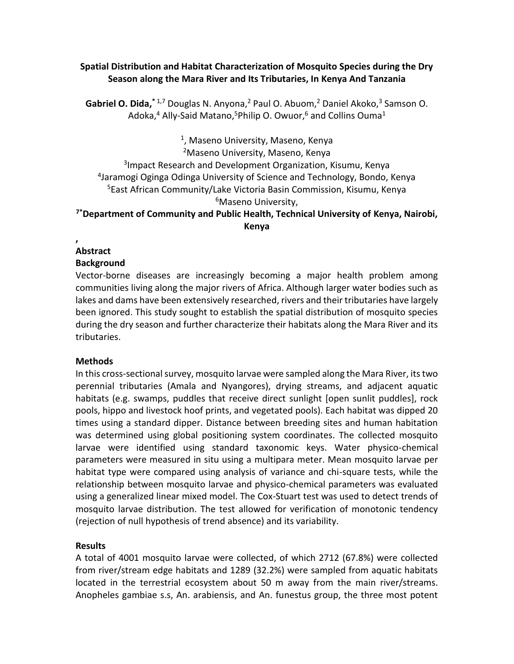#### **Spatial Distribution and Habitat Characterization of Mosquito Species during the Dry Season along the Mara River and Its Tributaries, In Kenya And Tanzania**

[Gabriel O. Dida,](https://www.ncbi.nlm.nih.gov/pubmed/?term=Dida%20GO%5BAuthor%5D&cauthor=true&cauthor_uid=29343279)<sup>\* 1,7</sup> [Douglas N. Anyona,](https://www.ncbi.nlm.nih.gov/pubmed/?term=Anyona%20DN%5BAuthor%5D&cauthor=true&cauthor_uid=29343279)<sup>2</sup> [Paul O. Abuom,](https://www.ncbi.nlm.nih.gov/pubmed/?term=Abuom%20PO%5BAuthor%5D&cauthor=true&cauthor_uid=29343279)<sup>2</sup> [Daniel Akoko,](https://www.ncbi.nlm.nih.gov/pubmed/?term=Akoko%20D%5BAuthor%5D&cauthor=true&cauthor_uid=29343279)<sup>3</sup> Samson O. [Adoka,](https://www.ncbi.nlm.nih.gov/pubmed/?term=Adoka%20SO%5BAuthor%5D&cauthor=true&cauthor_uid=29343279)<sup>4</sup> [Ally-Said Matano,](https://www.ncbi.nlm.nih.gov/pubmed/?term=Matano%20AS%5BAuthor%5D&cauthor=true&cauthor_uid=29343279)<sup>5</sup>[Philip O. Owuor,](https://www.ncbi.nlm.nih.gov/pubmed/?term=Owuor%20PO%5BAuthor%5D&cauthor=true&cauthor_uid=29343279)<sup>6</sup> and [Collins Ouma](https://www.ncbi.nlm.nih.gov/pubmed/?term=Ouma%20C%5BAuthor%5D&cauthor=true&cauthor_uid=29343279)<sup>1</sup>

<sup>1</sup>, Maseno University, Maseno, Kenya

Maseno University, Maseno, Kenya Impact Research and Development Organization, Kisumu, Kenya Jaramogi Oginga Odinga University of Science and Technology, Bondo, Kenya East African Community/Lake Victoria Basin Commission, Kisumu, Kenya <sup>6</sup>Maseno University,

**7\*Department of Community and Public Health, Technical University of Kenya, Nairobi, Kenya**

#### **, Abstract**

# **Background**

Vector-borne diseases are increasingly becoming a major health problem among communities living along the major rivers of Africa. Although larger water bodies such as lakes and dams have been extensively researched, rivers and their tributaries have largely been ignored. This study sought to establish the spatial distribution of mosquito species during the dry season and further characterize their habitats along the Mara River and its tributaries.

## **Methods**

In this cross-sectional survey, mosquito larvae were sampled along the Mara River, its two perennial tributaries (Amala and Nyangores), drying streams, and adjacent aquatic habitats (e.g. swamps, puddles that receive direct sunlight [open sunlit puddles], rock pools, hippo and livestock hoof prints, and vegetated pools). Each habitat was dipped 20 times using a standard dipper. Distance between breeding sites and human habitation was determined using global positioning system coordinates. The collected mosquito larvae were identified using standard taxonomic keys. Water physico-chemical parameters were measured in situ using a multipara meter. Mean mosquito larvae per habitat type were compared using analysis of variance and chi-square tests, while the relationship between mosquito larvae and physico-chemical parameters was evaluated using a generalized linear mixed model. The Cox-Stuart test was used to detect trends of mosquito larvae distribution. The test allowed for verification of monotonic tendency (rejection of null hypothesis of trend absence) and its variability.

## **Results**

A total of 4001 mosquito larvae were collected, of which 2712 (67.8%) were collected from river/stream edge habitats and 1289 (32.2%) were sampled from aquatic habitats located in the terrestrial ecosystem about 50 m away from the main river/streams. Anopheles gambiae s.s, An. arabiensis, and An. funestus group, the three most potent